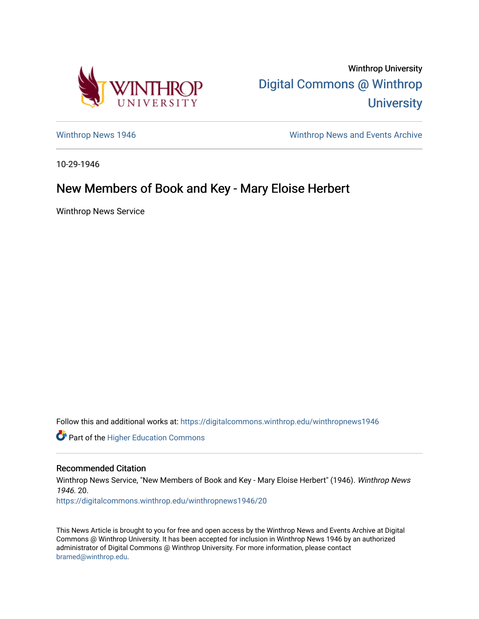

Winthrop University [Digital Commons @ Winthrop](https://digitalcommons.winthrop.edu/)  **University** 

[Winthrop News 1946](https://digitalcommons.winthrop.edu/winthropnews1946) Minthrop News and Events Archive

10-29-1946

## New Members of Book and Key - Mary Eloise Herbert

Winthrop News Service

Follow this and additional works at: [https://digitalcommons.winthrop.edu/winthropnews1946](https://digitalcommons.winthrop.edu/winthropnews1946?utm_source=digitalcommons.winthrop.edu%2Fwinthropnews1946%2F20&utm_medium=PDF&utm_campaign=PDFCoverPages) 

Part of the [Higher Education Commons](http://network.bepress.com/hgg/discipline/1245?utm_source=digitalcommons.winthrop.edu%2Fwinthropnews1946%2F20&utm_medium=PDF&utm_campaign=PDFCoverPages) 

## Recommended Citation

Winthrop News Service, "New Members of Book and Key - Mary Eloise Herbert" (1946). Winthrop News 1946. 20.

[https://digitalcommons.winthrop.edu/winthropnews1946/20](https://digitalcommons.winthrop.edu/winthropnews1946/20?utm_source=digitalcommons.winthrop.edu%2Fwinthropnews1946%2F20&utm_medium=PDF&utm_campaign=PDFCoverPages)

This News Article is brought to you for free and open access by the Winthrop News and Events Archive at Digital Commons @ Winthrop University. It has been accepted for inclusion in Winthrop News 1946 by an authorized administrator of Digital Commons @ Winthrop University. For more information, please contact [bramed@winthrop.edu.](mailto:bramed@winthrop.edu)